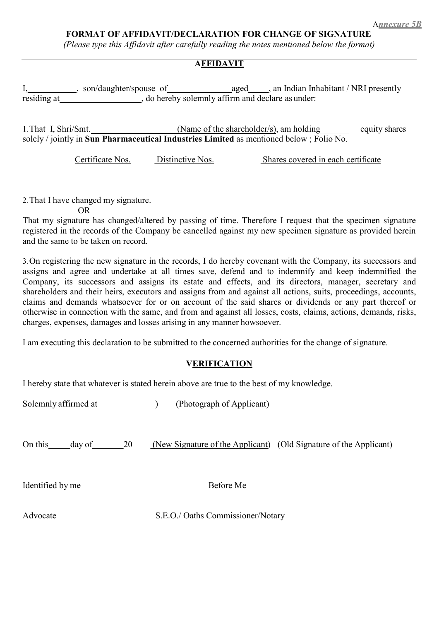(Please type this Affidavit after carefully reading the notes mentioned below the format)

## **AFFIDAVIT**

I, son/daughter/spouse of aged and Indian Inhabitant / NRI presently residing at , do hereby solemnly affirm and declare as under:

1. That I, Shri/Smt. (Name of the shareholder/s), am holding equity shares solely / jointly in Sun Pharmaceutical Industries Limited as mentioned below ; Folio No.

Certificate Nos. Distinctive Nos. Shares covered in each certificate

2.That I have changed my signature.

OR

That my signature has changed/altered by passing of time. Therefore I request that the specimen signature registered in the records of the Company be cancelled against my new specimen signature as provided herein and the same to be taken on record.

3.On registering the new signature in the records, I do hereby covenant with the Company, its successors and assigns and agree and undertake at all times save, defend and to indemnify and keep indemnified the Company, its successors and assigns its estate and effects, and its directors, manager, secretary and shareholders and their heirs, executors and assigns from and against all actions, suits, proceedings, accounts, claims and demands whatsoever for or on account of the said shares or dividends or any part thereof or otherwise in connection with the same, and from and against all losses, costs, claims, actions, demands, risks, charges, expenses, damages and losses arising in any manner howsoever.

I am executing this declaration to be submitted to the concerned authorities for the change of signature.

## **VERIFICATION**

I hereby state that whatever is stated herein above are true to the best of my knowledge.

Solemnly affirmed at (Photograph of Applicant)

On this day of 20 (New Signature of the Applicant) (Old Signature of the Applicant)

Identified by me Before Me

Advocate S.E.O./ Oaths Commissioner/Notary